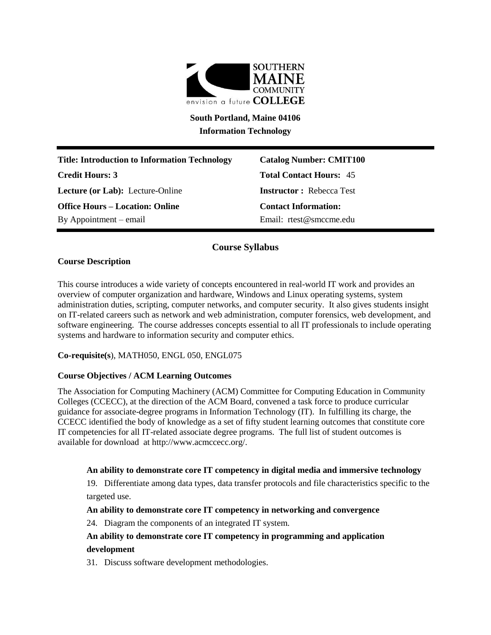

**South Portland, Maine 04106 Information Technology**

**Title: Introduction to Information Technology Catalog Number: CMIT100 Credit Hours: 3 Total Contact Hours:** 45 **Lecture (or Lab):** Lecture-Online **Instructor :** Rebecca Test **Office Hours – Location: Online Contact Information:**  By Appointment – email Email: rtest@smccme.edu

# **Course Syllabus**

# **Course Description**

This course introduces a wide variety of concepts encountered in real-world IT work and provides an overview of computer organization and hardware, Windows and Linux operating systems, system administration duties, scripting, computer networks, and computer security. It also gives students insight on IT-related careers such as network and web administration, computer forensics, web development, and software engineering. The course addresses concepts essential to all IT professionals to include operating systems and hardware to information security and computer ethics.

**Co-requisite(s**), MATH050, ENGL 050, ENGL075

# **Course Objectives / ACM Learning Outcomes**

The Association for Computing Machinery (ACM) Committee for Computing Education in Community Colleges (CCECC), at the direction of the ACM Board, convened a task force to produce curricular guidance for associate-degree programs in Information Technology (IT). In fulfilling its charge, the CCECC identified the body of knowledge as a set of fifty student learning outcomes that constitute core IT competencies for all IT-related associate degree programs. The full list of student outcomes is available for download at http://www.acmccecc.org/.

## **An ability to demonstrate core IT competency in digital media and immersive technology**

19. Differentiate among data types, data transfer protocols and file characteristics specific to the targeted use.

# **An ability to demonstrate core IT competency in networking and convergence**

24. Diagram the components of an integrated IT system.

# **An ability to demonstrate core IT competency in programming and application development**

31. Discuss software development methodologies.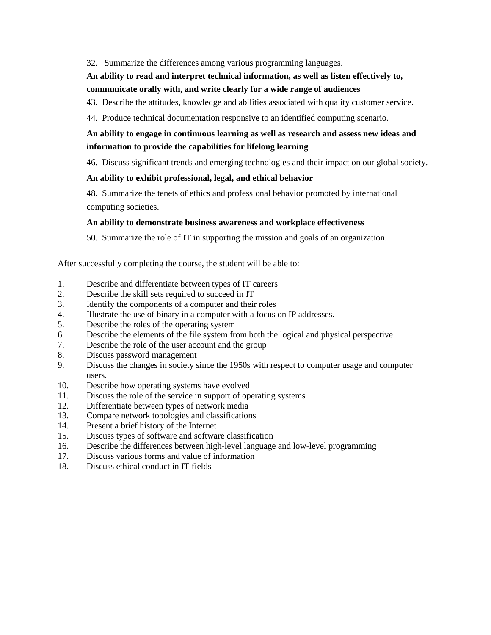## 32. Summarize the differences among various programming languages.

# **An ability to read and interpret technical information, as well as listen effectively to, communicate orally with, and write clearly for a wide range of audiences**

43. Describe the attitudes, knowledge and abilities associated with quality customer service.

44. Produce technical documentation responsive to an identified computing scenario.

# **An ability to engage in continuous learning as well as research and assess new ideas and information to provide the capabilities for lifelong learning**

46. Discuss significant trends and emerging technologies and their impact on our global society.

### **An ability to exhibit professional, legal, and ethical behavior**

48. Summarize the tenets of ethics and professional behavior promoted by international computing societies.

### **An ability to demonstrate business awareness and workplace effectiveness**

50. Summarize the role of IT in supporting the mission and goals of an organization.

After successfully completing the course, the student will be able to:

- 1. Describe and differentiate between types of IT careers
- 2. Describe the skill sets required to succeed in IT
- 3. Identify the components of a computer and their roles
- 4. Illustrate the use of binary in a computer with a focus on IP addresses.
- 5. Describe the roles of the operating system
- 6. Describe the elements of the file system from both the logical and physical perspective
- 7. Describe the role of the user account and the group
- 8. Discuss password management
- 9. Discuss the changes in society since the 1950s with respect to computer usage and computer users.
- 10. Describe how operating systems have evolved
- 11. Discuss the role of the service in support of operating systems
- 12. Differentiate between types of network media
- 13. Compare network topologies and classifications
- 14. Present a brief history of the Internet
- 15. Discuss types of software and software classification
- 16. Describe the differences between high-level language and low-level programming
- 17. Discuss various forms and value of information
- 18. Discuss ethical conduct in IT fields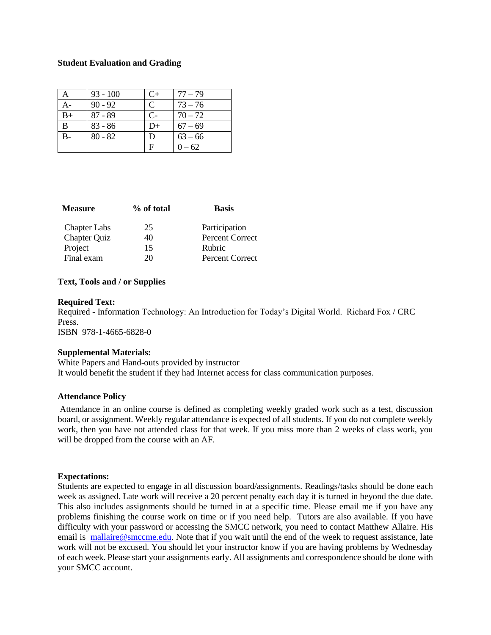### **Student Evaluation and Grading**

|              | $93 - 100$ | $C+$ | $77 - 79$ |
|--------------|------------|------|-----------|
| $A-$         | $90 - 92$  | C    | $73 - 76$ |
| $B+$         | $87 - 89$  | $C-$ | $70 - 72$ |
| $\mathbf{B}$ | $83 - 86$  | $D+$ | $67 - 69$ |
|              | $80 - 82$  | D    | $63 - 66$ |
|              |            | F    | $0 - 62$  |

| <b>Measure</b>      | % of total | <b>Basis</b>    |
|---------------------|------------|-----------------|
| <b>Chapter Labs</b> | 25         | Participation   |
| <b>Chapter Quiz</b> | 40         | Percent Correct |
| Project             | 15         | Rubric          |
| Final exam          | 20.        | Percent Correct |
|                     |            |                 |

### **Text, Tools and / or Supplies**

#### **Required Text:**

Required - Information Technology: An Introduction for Today's Digital World. Richard Fox / CRC Press. ISBN 978-1-4665-6828-0

#### **Supplemental Materials:**

White Papers and Hand-outs provided by instructor It would benefit the student if they had Internet access for class communication purposes.

## **Attendance Policy**

Attendance in an online course is defined as completing weekly graded work such as a test, discussion board, or assignment. Weekly regular attendance is expected of all students. If you do not complete weekly work, then you have not attended class for that week. If you miss more than 2 weeks of class work, you will be dropped from the course with an AF.

#### **Expectations:**

Students are expected to engage in all discussion board/assignments. Readings/tasks should be done each week as assigned. Late work will receive a 20 percent penalty each day it is turned in beyond the due date. This also includes assignments should be turned in at a specific time. Please email me if you have any problems finishing the course work on time or if you need help. Tutors are also available. If you have difficulty with your password or accessing the SMCC network, you need to contact Matthew Allaire. His email is [mallaire@smccme.edu.](mailto:mallaire@smccme.edu) Note that if you wait until the end of the week to request assistance, late work will not be excused. You should let your instructor know if you are having problems by Wednesday of each week. Please start your assignments early. All assignments and correspondence should be done with your SMCC account.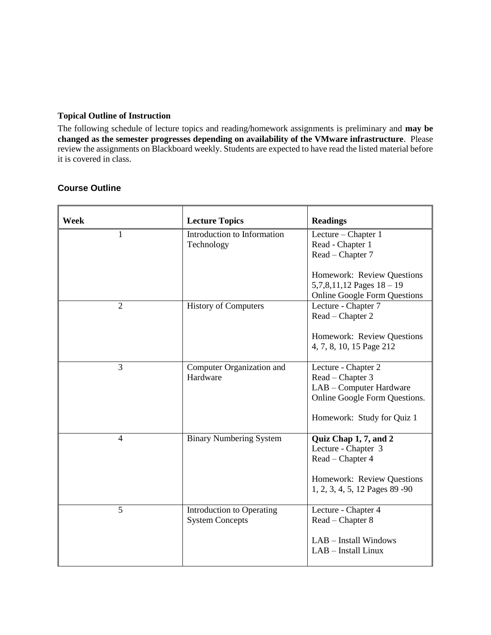## **Topical Outline of Instruction**

The following schedule of lecture topics and reading/homework assignments is preliminary and **may be changed as the semester progresses depending on availability of the VMware infrastructure**. Please review the assignments on Blackboard weekly. Students are expected to have read the listed material before it is covered in class.

| Week           | <b>Lecture Topics</b>                               | <b>Readings</b>                                                                                  |
|----------------|-----------------------------------------------------|--------------------------------------------------------------------------------------------------|
| $\mathbf{1}$   | Introduction to Information<br>Technology           | Lecture - Chapter 1<br>Read - Chapter 1<br>Read - Chapter 7                                      |
|                |                                                     | Homework: Review Questions<br>$5,7,8,11,12$ Pages $18-19$<br><b>Online Google Form Questions</b> |
| $\overline{2}$ | <b>History of Computers</b>                         | Lecture - Chapter 7<br>Read - Chapter 2                                                          |
|                |                                                     | Homework: Review Questions<br>4, 7, 8, 10, 15 Page 212                                           |
| 3              | Computer Organization and<br>Hardware               | Lecture - Chapter 2<br>Read – Chapter 3                                                          |
|                |                                                     | LAB - Computer Hardware<br>Online Google Form Questions.                                         |
|                |                                                     | Homework: Study for Quiz 1                                                                       |
| $\overline{4}$ | <b>Binary Numbering System</b>                      | Quiz Chap 1, 7, and 2<br>Lecture - Chapter 3                                                     |
|                |                                                     | Read – Chapter 4                                                                                 |
|                |                                                     | Homework: Review Questions<br>1, 2, 3, 4, 5, 12 Pages 89 -90                                     |
| 5              | Introduction to Operating<br><b>System Concepts</b> | Lecture - Chapter 4<br>Read – Chapter 8                                                          |
|                |                                                     | LAB - Install Windows<br>LAB - Install Linux                                                     |

# **Course Outline**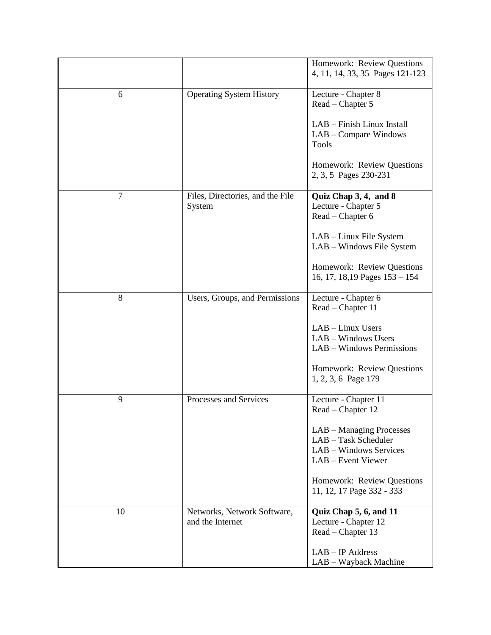|                |                                                 | Homework: Review Questions<br>4, 11, 14, 33, 35 Pages 121-123                                    |
|----------------|-------------------------------------------------|--------------------------------------------------------------------------------------------------|
| 6              | <b>Operating System History</b>                 | Lecture - Chapter 8<br>Read – Chapter 5                                                          |
|                |                                                 | LAB - Finish Linux Install<br>LAB – Compare Windows<br><b>Tools</b>                              |
|                |                                                 | Homework: Review Questions<br>2, 3, 5 Pages 230-231                                              |
| $\overline{7}$ | Files, Directories, and the File<br>System      | Quiz Chap 3, 4, and 8<br>Lecture - Chapter 5<br>Read - Chapter 6                                 |
|                |                                                 | LAB – Linux File System<br>LAB - Windows File System                                             |
|                |                                                 | Homework: Review Questions<br>16, 17, 18, 19 Pages $153 - 154$                                   |
| 8              | Users, Groups, and Permissions                  | Lecture - Chapter 6<br>Read – Chapter 11                                                         |
|                |                                                 | LAB - Linux Users<br>LAB - Windows Users<br>LAB - Windows Permissions                            |
|                |                                                 | Homework: Review Questions<br>1, 2, 3, 6 Page 179                                                |
| 9              | Processes and Services                          | Lecture - Chapter 11<br>Read - Chapter 12                                                        |
|                |                                                 | LAB - Managing Processes<br>LAB - Task Scheduler<br>LAB - Windows Services<br>LAB - Event Viewer |
|                |                                                 | Homework: Review Questions<br>11, 12, 17 Page 332 - 333                                          |
| 10             | Networks, Network Software,<br>and the Internet | Quiz Chap 5, 6, and 11<br>Lecture - Chapter 12<br>Read – Chapter 13<br>$LAB - IP$ Address        |
|                |                                                 | LAB - Wayback Machine                                                                            |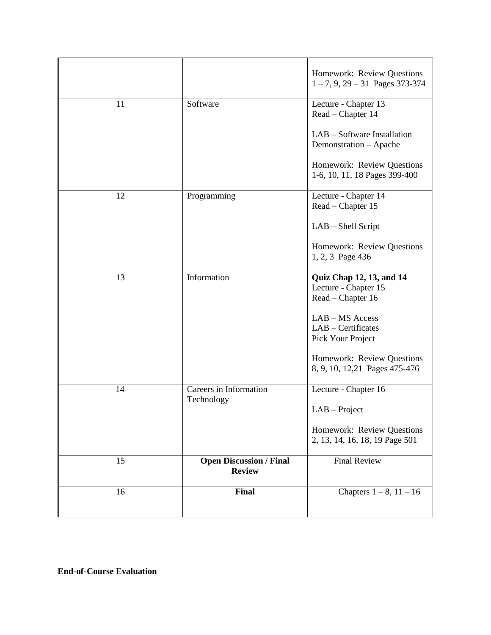|    |                                                 | Homework: Review Questions<br>$1 - 7, 9, 29 - 31$ Pages 373-374       |
|----|-------------------------------------------------|-----------------------------------------------------------------------|
| 11 | Software                                        | Lecture - Chapter 13<br>Read – Chapter 14                             |
|    |                                                 | LAB – Software Installation<br>Demonstration - Apache                 |
|    |                                                 | Homework: Review Questions<br>1-6, 10, 11, 18 Pages 399-400           |
| 12 | Programming                                     | Lecture - Chapter 14<br>Read – Chapter 15                             |
|    |                                                 | LAB - Shell Script                                                    |
|    |                                                 | Homework: Review Questions<br>1, 2, 3 Page 436                        |
| 13 | Information                                     | Quiz Chap 12, 13, and 14<br>Lecture - Chapter 15<br>Read – Chapter 16 |
|    |                                                 | LAB - MS Access<br>LAB - Certificates<br>Pick Your Project            |
|    |                                                 | Homework: Review Questions<br>8, 9, 10, 12, 21 Pages 475-476          |
| 14 | Careers in Information<br>Technology            | Lecture - Chapter 16                                                  |
|    |                                                 | $LAB - Project$                                                       |
|    |                                                 | Homework: Review Questions<br>2, 13, 14, 16, 18, 19 Page 501          |
| 15 | <b>Open Discussion / Final</b><br><b>Review</b> | <b>Final Review</b>                                                   |
| 16 | Final                                           | Chapters $1 - 8$ , $11 - 16$                                          |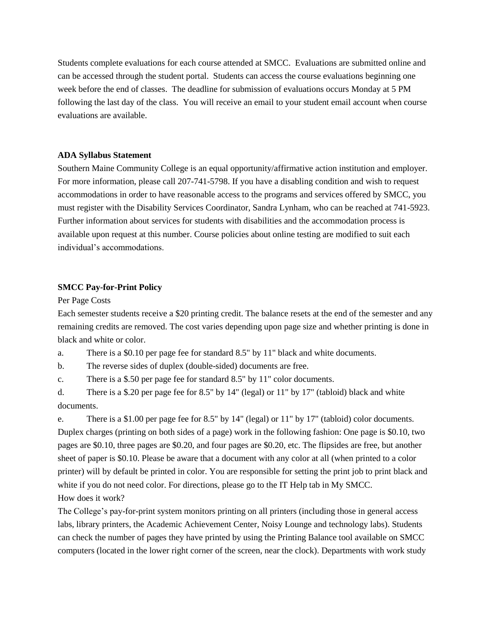Students complete evaluations for each course attended at SMCC. Evaluations are submitted online and can be accessed through the student portal. Students can access the course evaluations beginning one week before the end of classes. The deadline for submission of evaluations occurs Monday at 5 PM following the last day of the class. You will receive an email to your student email account when course evaluations are available.

#### **ADA Syllabus Statement**

Southern Maine Community College is an equal opportunity/affirmative action institution and employer. For more information, please call 207-741-5798. If you have a disabling condition and wish to request accommodations in order to have reasonable access to the programs and services offered by SMCC, you must register with the Disability Services Coordinator, Sandra Lynham, who can be reached at 741-5923. Further information about services for students with disabilities and the accommodation process is available upon request at this number. Course policies about online testing are modified to suit each individual's accommodations.

## **SMCC Pay-for-Print Policy**

Per Page Costs

Each semester students receive a \$20 printing credit. The balance resets at the end of the semester and any remaining credits are removed. The cost varies depending upon page size and whether printing is done in black and white or color.

a. There is a \$0.10 per page fee for standard 8.5" by 11" black and white documents.

b. The reverse sides of duplex (double-sided) documents are free.

c. There is a \$.50 per page fee for standard 8.5" by 11" color documents.

d. There is a \$.20 per page fee for 8.5" by 14" (legal) or 11" by 17" (tabloid) black and white documents.

e. There is a \$1.00 per page fee for 8.5" by 14" (legal) or 11" by 17" (tabloid) color documents. Duplex charges (printing on both sides of a page) work in the following fashion: One page is \$0.10, two pages are \$0.10, three pages are \$0.20, and four pages are \$0.20, etc. The flipsides are free, but another sheet of paper is \$0.10. Please be aware that a document with any color at all (when printed to a color printer) will by default be printed in color. You are responsible for setting the print job to print black and white if you do not need color. For directions, please go to the IT Help tab in My SMCC. How does it work?

The College's pay-for-print system monitors printing on all printers (including those in general access labs, library printers, the Academic Achievement Center, Noisy Lounge and technology labs). Students can check the number of pages they have printed by using the Printing Balance tool available on SMCC computers (located in the lower right corner of the screen, near the clock). Departments with work study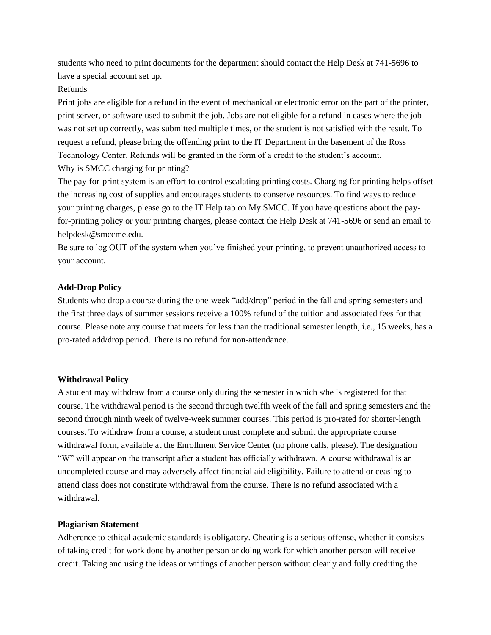students who need to print documents for the department should contact the Help Desk at 741-5696 to have a special account set up.

## Refunds

Print jobs are eligible for a refund in the event of mechanical or electronic error on the part of the printer, print server, or software used to submit the job. Jobs are not eligible for a refund in cases where the job was not set up correctly, was submitted multiple times, or the student is not satisfied with the result. To request a refund, please bring the offending print to the IT Department in the basement of the Ross Technology Center. Refunds will be granted in the form of a credit to the student's account. Why is SMCC charging for printing?

The pay-for-print system is an effort to control escalating printing costs. Charging for printing helps offset the increasing cost of supplies and encourages students to conserve resources. To find ways to reduce your printing charges, please go to the IT Help tab on My SMCC. If you have questions about the payfor-printing policy or your printing charges, please contact the Help Desk at 741-5696 or send an email to helpdesk@smccme.edu.

Be sure to log OUT of the system when you've finished your printing, to prevent unauthorized access to your account.

## **Add-Drop Policy**

Students who drop a course during the one-week "add/drop" period in the fall and spring semesters and the first three days of summer sessions receive a 100% refund of the tuition and associated fees for that course. Please note any course that meets for less than the traditional semester length, i.e., 15 weeks, has a pro-rated add/drop period. There is no refund for non-attendance.

# **Withdrawal Policy**

A student may withdraw from a course only during the semester in which s/he is registered for that course. The withdrawal period is the second through twelfth week of the fall and spring semesters and the second through ninth week of twelve-week summer courses. This period is pro-rated for shorter-length courses. To withdraw from a course, a student must complete and submit the appropriate course withdrawal form, available at the Enrollment Service Center (no phone calls, please). The designation "W" will appear on the transcript after a student has officially withdrawn. A course withdrawal is an uncompleted course and may adversely affect financial aid eligibility. Failure to attend or ceasing to attend class does not constitute withdrawal from the course. There is no refund associated with a withdrawal.

## **Plagiarism Statement**

Adherence to ethical academic standards is obligatory. Cheating is a serious offense, whether it consists of taking credit for work done by another person or doing work for which another person will receive credit. Taking and using the ideas or writings of another person without clearly and fully crediting the